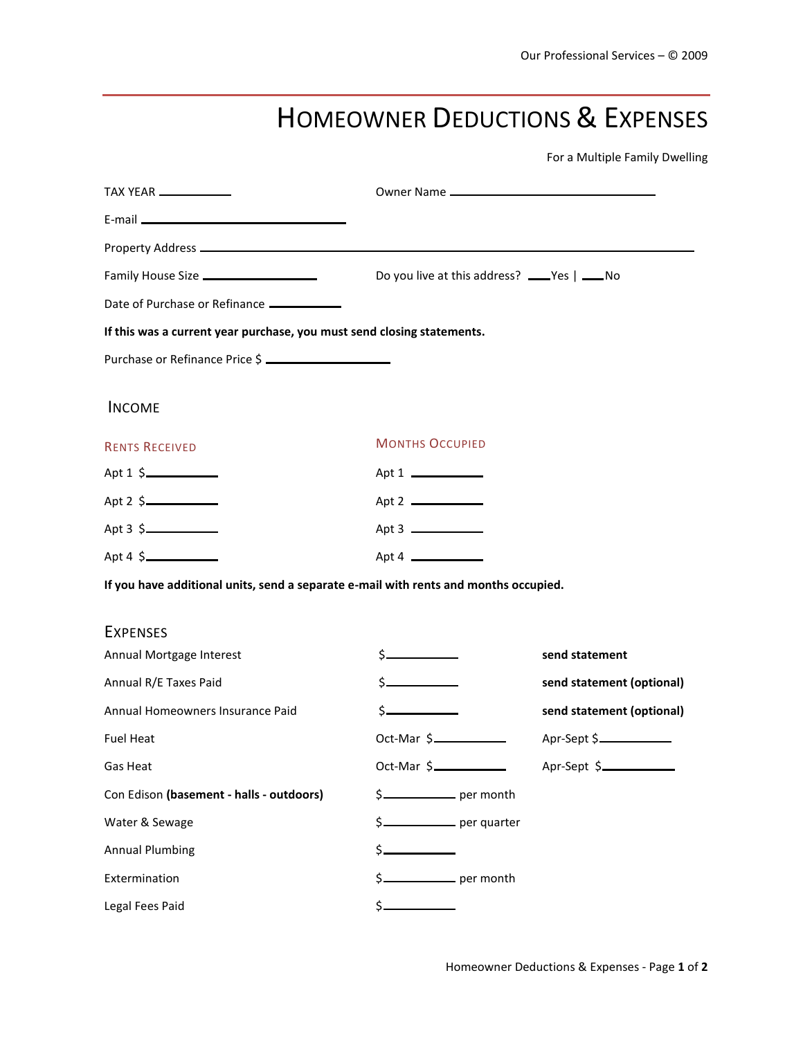## HOMEOWNER DEDUCTIONS & EXPENSES

For a Multiple Family Dwelling

| TAX YEAR _____________                                                                                        |                                                                                                                                                                                                                                                                                                                                                                                                                                                              |                           |
|---------------------------------------------------------------------------------------------------------------|--------------------------------------------------------------------------------------------------------------------------------------------------------------------------------------------------------------------------------------------------------------------------------------------------------------------------------------------------------------------------------------------------------------------------------------------------------------|---------------------------|
| E-mail 2008 2009 2010 2021 2022 2023 2024 2022 2023 2024 2022 2023 2024 2022 2023 2024 2022 2023 2024 2022 20 |                                                                                                                                                                                                                                                                                                                                                                                                                                                              |                           |
|                                                                                                               |                                                                                                                                                                                                                                                                                                                                                                                                                                                              |                           |
|                                                                                                               | Do you live at this address? ____Yes   ____No                                                                                                                                                                                                                                                                                                                                                                                                                |                           |
| Date of Purchase or Refinance ___________                                                                     |                                                                                                                                                                                                                                                                                                                                                                                                                                                              |                           |
| If this was a current year purchase, you must send closing statements.                                        |                                                                                                                                                                                                                                                                                                                                                                                                                                                              |                           |
| Purchase or Refinance Price \$                                                                                |                                                                                                                                                                                                                                                                                                                                                                                                                                                              |                           |
| <b>INCOME</b>                                                                                                 |                                                                                                                                                                                                                                                                                                                                                                                                                                                              |                           |
| <b>RENTS RECEIVED</b>                                                                                         | <b>MONTHS OCCUPIED</b>                                                                                                                                                                                                                                                                                                                                                                                                                                       |                           |
|                                                                                                               | Apt 1                                                                                                                                                                                                                                                                                                                                                                                                                                                        |                           |
| Apt $2 \div$                                                                                                  | Apt 2                                                                                                                                                                                                                                                                                                                                                                                                                                                        |                           |
| Apt 3 \$                                                                                                      | Apt 3                                                                                                                                                                                                                                                                                                                                                                                                                                                        |                           |
| Apt $4 \simeq$                                                                                                |                                                                                                                                                                                                                                                                                                                                                                                                                                                              |                           |
| If you have additional units, send a separate e-mail with rents and months occupied.                          |                                                                                                                                                                                                                                                                                                                                                                                                                                                              |                           |
| <b>EXPENSES</b>                                                                                               |                                                                                                                                                                                                                                                                                                                                                                                                                                                              |                           |
| Annual Mortgage Interest                                                                                      |                                                                                                                                                                                                                                                                                                                                                                                                                                                              | send statement            |
| Annual R/E Taxes Paid                                                                                         |                                                                                                                                                                                                                                                                                                                                                                                                                                                              | send statement (optional) |
| Annual Homeowners Insurance Paid                                                                              | $\label{eq:2.1} \frac{1}{\sqrt{2}}\left(\frac{1}{\sqrt{2}}\right)^{2} \left(\frac{1}{\sqrt{2}}\right)^{2} \left(\frac{1}{\sqrt{2}}\right)^{2} \left(\frac{1}{\sqrt{2}}\right)^{2} \left(\frac{1}{\sqrt{2}}\right)^{2} \left(\frac{1}{\sqrt{2}}\right)^{2} \left(\frac{1}{\sqrt{2}}\right)^{2} \left(\frac{1}{\sqrt{2}}\right)^{2} \left(\frac{1}{\sqrt{2}}\right)^{2} \left(\frac{1}{\sqrt{2}}\right)^{2} \left(\frac{1}{\sqrt{2}}\right)^{2} \left(\$<br>S- | send statement (optional) |
| <b>Fuel Heat</b>                                                                                              | $Oct-Mar$ \$                                                                                                                                                                                                                                                                                                                                                                                                                                                 | Apr-Sept \$               |
| Gas Heat                                                                                                      | Oct-Mar \$                                                                                                                                                                                                                                                                                                                                                                                                                                                   | Apr-Sept \$               |
| Con Edison (basement - halls - outdoors)                                                                      | \$- per month                                                                                                                                                                                                                                                                                                                                                                                                                                                |                           |
| Water & Sewage                                                                                                | \$- per quarter                                                                                                                                                                                                                                                                                                                                                                                                                                              |                           |
| <b>Annual Plumbing</b>                                                                                        |                                                                                                                                                                                                                                                                                                                                                                                                                                                              |                           |
| Extermination                                                                                                 | \$- per month                                                                                                                                                                                                                                                                                                                                                                                                                                                |                           |
| Legal Fees Paid                                                                                               |                                                                                                                                                                                                                                                                                                                                                                                                                                                              |                           |